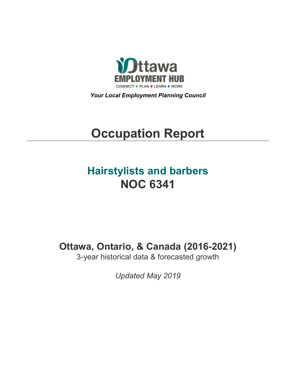

*Your Local Employment Planning Council*

# **Occupation Report**

# **Hairstylists and barbers NOC 6341**

**Ottawa, Ontario, & Canada (2016-2021)**

3-year historical data & forecasted growth

*Updated May 2019*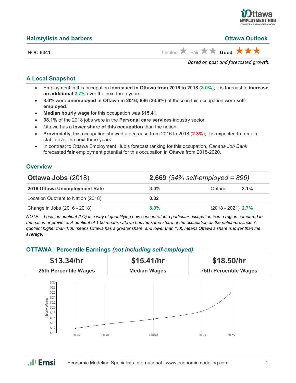

# **Hairstylists and barbers Ottawa Outlook**

NOC **6341** Limited **A** Fair **A** Good **A A** 

*Based on past and forecasted growth.*

# **A Local Snapshot**

- Employment in this occupation **increased in Ottawa from 2016 to 2018** (**8.0%**); it is forecast to **increase an additional 2.7%** over the next three years.
- **3.0%** were **unemployed in Ottawa in 2016; 896 (33.6%)** of those in this occupation were **selfemployed**.
- **Median hourly wage** for this occupation was **\$15.41**.
- **98.1%** of the 2018 jobs were in the **Personal care services** industry sector.
- Ottawa has a **lower share of this occupation** than the nation.
- **Provincially**, this occupation showed a decrease from 2016 to 2018 (**2.3%**); it is expected to remain stable over the next three years.
- In contrast to Ottawa Employment Hub's forecast ranking for this occupation, *Canada Job Bank*  forecasted **fair** employment potential for this occupation in Ottawa from 2018-2020.

# **Overview**

| <b>Ottawa Jobs (2018)</b>          | <b>2,669</b> (34% self-employed = 896) |                      |         |
|------------------------------------|----------------------------------------|----------------------|---------|
| 2016 Ottawa Unemployment Rate      | $3.0\%$                                | Ontario              | $3.1\%$ |
| Location Quotient to Nation (2018) | 0.82                                   |                      |         |
| Change in Jobs (2016 - 2018)       | $8.0\%$                                | $(2018 - 2021)$ 2.7% |         |

*NOTE: Location quotient (LQ) is a way of quantifying how concentrated a particular occupation is in a region compared to the nation or province. A quotient of 1.00 means Ottawa has the same share of the occupation as the nation/province. A quotient higher than 1.00 means Ottawa has a greater share, and lower than 1.00 means Ottawa's share is lower than the average.*

# **OTTAWA | Percentile Earnings** *(not including self-employed)*



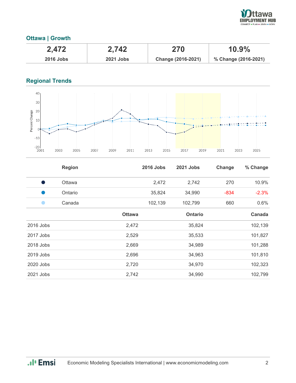

# **Ottawa | Growth**

| 2,472            | 2,742            | 270                | 10.9%                |
|------------------|------------------|--------------------|----------------------|
| <b>2016 Jobs</b> | <b>2021 Jobs</b> | Change (2016-2021) | % Change (2016-2021) |

# **Regional Trends**



|           | <b>Region</b> |               | <b>2016 Jobs</b> | 2021 Jobs      | Change | % Change |
|-----------|---------------|---------------|------------------|----------------|--------|----------|
|           | Ottawa        |               | 2,472            | 2,742          | 270    | 10.9%    |
|           | Ontario       |               | 35,824           | 34,990         | $-834$ | $-2.3%$  |
|           | Canada        |               | 102,139          | 102,799        | 660    | 0.6%     |
|           |               | <b>Ottawa</b> |                  | <b>Ontario</b> |        | Canada   |
| 2016 Jobs |               | 2,472         |                  | 35,824         |        | 102,139  |
| 2017 Jobs |               | 2,529         |                  | 35,533         |        | 101,827  |
| 2018 Jobs |               | 2,669         |                  | 34,989         |        | 101,288  |
| 2019 Jobs |               | 2,696         |                  | 34,963         |        | 101,810  |
| 2020 Jobs |               | 2,720         |                  | 34,970         |        | 102,323  |
| 2021 Jobs |               | 2,742         |                  | 34,990         |        | 102,799  |

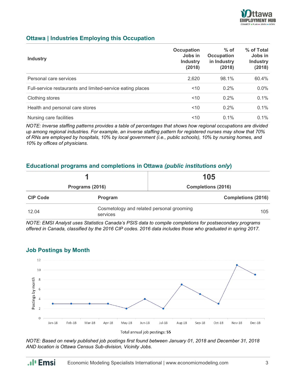

# **Ottawa | Industries Employing this Occupation**

| <b>Industry</b>                                            | <b>Occupation</b><br>Jobs in<br><b>Industry</b><br>(2018) | $%$ of<br><b>Occupation</b><br>in Industry<br>(2018) | % of Total<br>Jobs in<br><b>Industry</b><br>(2018) |
|------------------------------------------------------------|-----------------------------------------------------------|------------------------------------------------------|----------------------------------------------------|
| Personal care services                                     | 2,620                                                     | 98.1%                                                | 60.4%                                              |
| Full-service restaurants and limited-service eating places | ~10                                                       | 0.2%                                                 | $0.0\%$                                            |
| Clothing stores                                            | < 10                                                      | $0.2\%$                                              | 0.1%                                               |
| Health and personal care stores                            | ~10                                                       | $0.2\%$                                              | 0.1%                                               |
| Nursing care facilities                                    | 10                                                        | $0.1\%$                                              | $0.1\%$                                            |

*NOTE: Inverse staffing patterns provides a table of percentages that shows how regional occupations are divided up among regional industries. For example, an inverse staffing pattern for registered nurses may show that 70% of RNs are employed by hospitals, 10% by local government (i.e., public schools), 10% by nursing homes, and 10% by offices of physicians.*

# **Educational programs and completions in Ottawa** *(public institutions only***)**

|                 |                                                              | 105                       |  |
|-----------------|--------------------------------------------------------------|---------------------------|--|
| Programs (2016) |                                                              | <b>Completions (2016)</b> |  |
| <b>CIP Code</b> | Program                                                      | <b>Completions (2016)</b> |  |
| 12.04           | Cosmetology and related personal grooming<br>105<br>services |                           |  |

*NOTE: EMSI Analyst uses Statistics Canada's PSIS data to compile completions for postsecondary programs offered in Canada, classified by the 2016 CIP codes. 2016 data includes those who graduated in spring 2017.*



## **Job Postings by Month**

.**.**I<sub>I</sub> Emsi

*NOTE: Based on newly published job postings first found between January 01, 2018 and December 31, 2018 AND location is Ottawa Census Sub-division, Vicinity Jobs.*